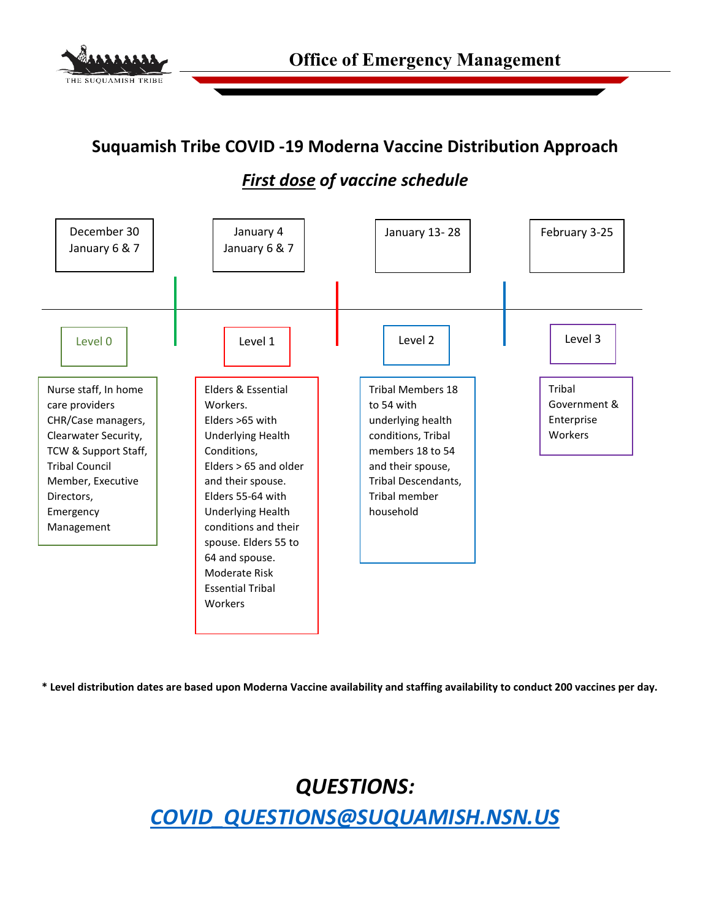

### **Suquamish Tribe COVID -19 Moderna Vaccine Distribution Approach**

## *First dose of vaccine schedule*



**\* Level distribution dates are based upon Moderna Vaccine availability and staffing availability to conduct 200 vaccines per day.**

*QUESTIONS: [COVID\\_QUESTIONS@SUQUAMISH.NSN.US](mailto:COVID_QUESTIONS@SUQUAMISH.NSN.US)*